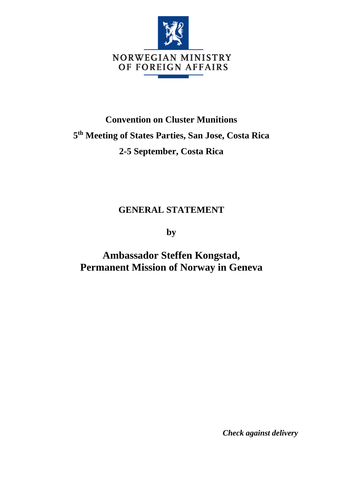

## **Convention on Cluster Munitions 5 th Meeting of States Parties, San Jose, Costa Rica 2-5 September, Costa Rica**

## **GENERAL STATEMENT**

**by**

**Ambassador Steffen Kongstad, Permanent Mission of Norway in Geneva**

*Check against delivery*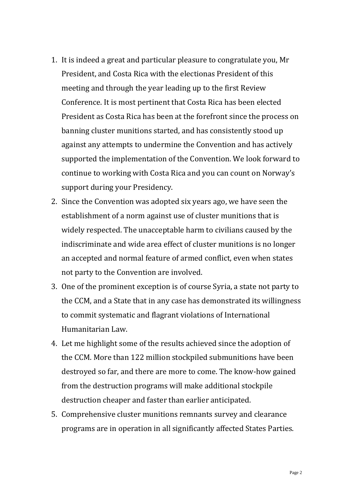- 1. It is indeed a great and particular pleasure to congratulate you, Mr President, and Costa Rica with the electionas President of this meeting and through the year leading up to the first Review Conference. It is most pertinent that Costa Rica has been elected President as Costa Rica has been at the forefront since the process on banning cluster munitions started, and has consistently stood up against any attempts to undermine the Convention and has actively supported the implementation of the Convention. We look forward to continue to working with Costa Rica and you can count on Norway's support during your Presidency.
- 2. Since the Convention was adopted six years ago, we have seen the establishment of a norm against use of cluster munitions that is widely respected. The unacceptable harm to civilians caused by the indiscriminate and wide area effect of cluster munitions is no longer an accepted and normal feature of armed conflict, even when states not party to the Convention are involved.
- 3. One of the prominent exception is of course Syria, a state not party to the CCM, and a State that in any case has demonstrated its willingness to commit systematic and flagrant violations of International Humanitarian Law.
- 4. Let me highlight some of the results achieved since the adoption of the CCM. More than 122 million stockpiled submunitions have been destroyed so far, and there are more to come. The know-how gained from the destruction programs will make additional stockpile destruction cheaper and faster than earlier anticipated.
- 5. Comprehensive cluster munitions remnants survey and clearance programs are in operation in all significantly affected States Parties.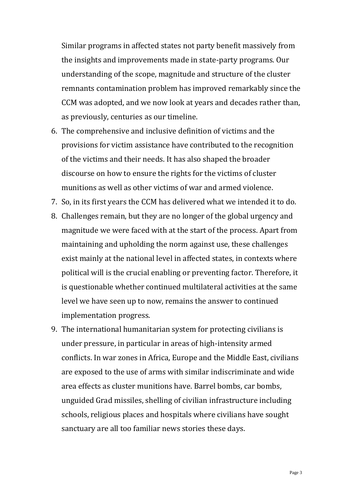Similar programs in affected states not party benefit massively from the insights and improvements made in state-party programs. Our understanding of the scope, magnitude and structure of the cluster remnants contamination problem has improved remarkably since the CCM was adopted, and we now look at years and decades rather than, as previously, centuries as our timeline.

- 6. The comprehensive and inclusive definition of victims and the provisions for victim assistance have contributed to the recognition of the victims and their needs. It has also shaped the broader discourse on how to ensure the rights for the victims of cluster munitions as well as other victims of war and armed violence.
- 7. So, in its first years the CCM has delivered what we intended it to do.
- 8. Challenges remain, but they are no longer of the global urgency and magnitude we were faced with at the start of the process. Apart from maintaining and upholding the norm against use, these challenges exist mainly at the national level in affected states, in contexts where political will is the crucial enabling or preventing factor. Therefore, it is questionable whether continued multilateral activities at the same level we have seen up to now, remains the answer to continued implementation progress.
- 9. The international humanitarian system for protecting civilians is under pressure, in particular in areas of high-intensity armed conflicts. In war zones in Africa, Europe and the Middle East, civilians are exposed to the use of arms with similar indiscriminate and wide area effects as cluster munitions have. Barrel bombs, car bombs, unguided Grad missiles, shelling of civilian infrastructure including schools, religious places and hospitals where civilians have sought sanctuary are all too familiar news stories these days.

Page 3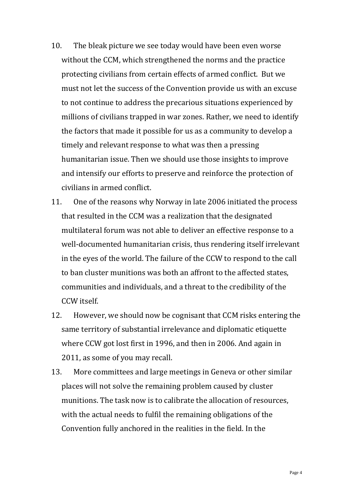- 10. The bleak picture we see today would have been even worse without the CCM, which strengthened the norms and the practice protecting civilians from certain effects of armed conflict. But we must not let the success of the Convention provide us with an excuse to not continue to address the precarious situations experienced by millions of civilians trapped in war zones. Rather, we need to identify the factors that made it possible for us as a community to develop a timely and relevant response to what was then a pressing humanitarian issue. Then we should use those insights to improve and intensify our efforts to preserve and reinforce the protection of civilians in armed conflict.
- 11. One of the reasons why Norway in late 2006 initiated the process that resulted in the CCM was a realization that the designated multilateral forum was not able to deliver an effective response to a well-documented humanitarian crisis, thus rendering itself irrelevant in the eyes of the world. The failure of the CCW to respond to the call to ban cluster munitions was both an affront to the affected states, communities and individuals, and a threat to the credibility of the CCW itself.
- 12. However, we should now be cognisant that CCM risks entering the same territory of substantial irrelevance and diplomatic etiquette where CCW got lost first in 1996, and then in 2006. And again in 2011, as some of you may recall.
- 13. More committees and large meetings in Geneva or other similar places will not solve the remaining problem caused by cluster munitions. The task now is to calibrate the allocation of resources, with the actual needs to fulfil the remaining obligations of the Convention fully anchored in the realities in the field. In the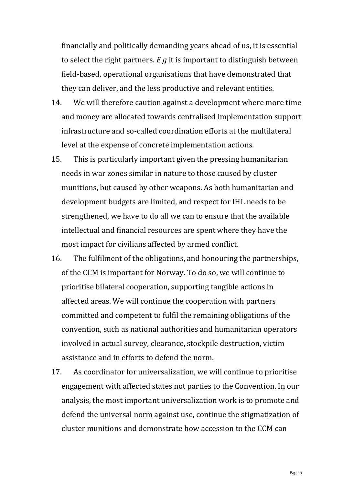financially and politically demanding years ahead of us, it is essential to select the right partners. *E g* it is important to distinguish between field-based, operational organisations that have demonstrated that they can deliver, and the less productive and relevant entities.

- 14. We will therefore caution against a development where more time and money are allocated towards centralised implementation support infrastructure and so-called coordination efforts at the multilateral level at the expense of concrete implementation actions.
- 15. This is particularly important given the pressing humanitarian needs in war zones similar in nature to those caused by cluster munitions, but caused by other weapons. As both humanitarian and development budgets are limited, and respect for IHL needs to be strengthened, we have to do all we can to ensure that the available intellectual and financial resources are spent where they have the most impact for civilians affected by armed conflict.
- 16. The fulfilment of the obligations, and honouring the partnerships, of the CCM is important for Norway. To do so, we will continue to prioritise bilateral cooperation, supporting tangible actions in affected areas. We will continue the cooperation with partners committed and competent to fulfil the remaining obligations of the convention, such as national authorities and humanitarian operators involved in actual survey, clearance, stockpile destruction, victim assistance and in efforts to defend the norm.
- 17. As coordinator for universalization, we will continue to prioritise engagement with affected states not parties to the Convention. In our analysis, the most important universalization work is to promote and defend the universal norm against use, continue the stigmatization of cluster munitions and demonstrate how accession to the CCM can